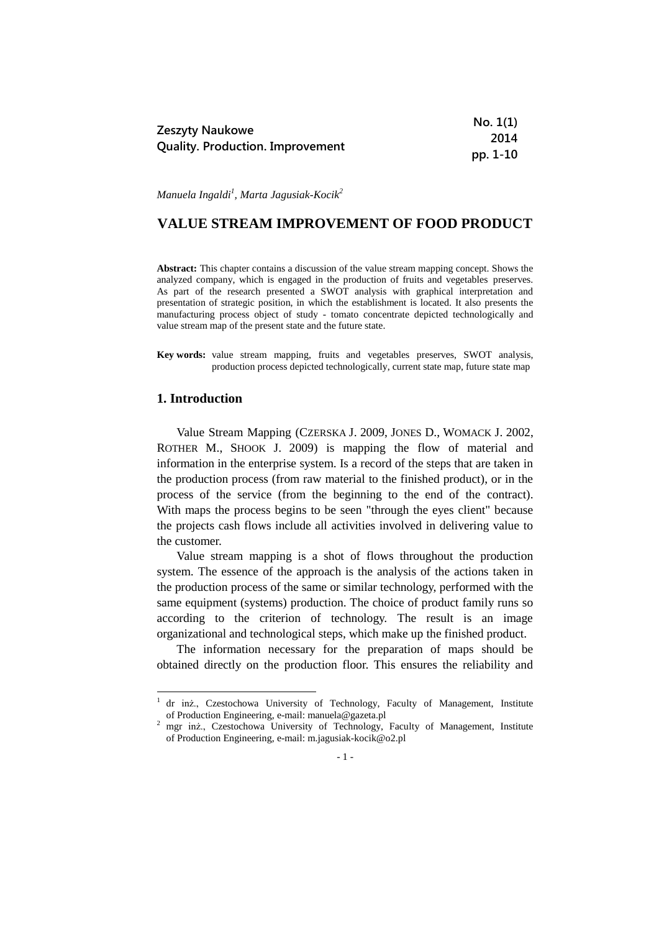|                                         | No. 1(1) |
|-----------------------------------------|----------|
| Zeszyty Naukowe                         | 2014     |
| <b>Quality. Production. Improvement</b> | pp. 1-10 |

*Manuela Ingaldi<sup>1</sup> , Marta Jagusiak-Kocik<sup>2</sup>*

# **VALUE STREAM IMPROVEMENT OF FOOD PRODUCT**

**Abstract:** This chapter contains a discussion of the value stream mapping concept. Shows the analyzed company, which is engaged in the production of fruits and vegetables preserves. As part of the research presented a SWOT analysis with graphical interpretation and presentation of strategic position, in which the establishment is located. It also presents the manufacturing process object of study - tomato concentrate depicted technologically and value stream map of the present state and the future state.

**Key words:** value stream mapping, fruits and vegetables preserves, SWOT analysis, production process depicted technologically, current state map, future state map

#### **1. Introduction**

1

Value Stream Mapping (CZERSKA J. 2009, JONES D., WOMACK J. 2002, ROTHER M., SHOOK J. 2009) is mapping the flow of material and information in the enterprise system. Is a record of the steps that are taken in the production process (from raw material to the finished product), or in the process of the service (from the beginning to the end of the contract). With maps the process begins to be seen "through the eyes client" because the projects cash flows include all activities involved in delivering value to the customer.

Value stream mapping is a shot of flows throughout the production system. The essence of the approach is the analysis of the actions taken in the production process of the same or similar technology, performed with the same equipment (systems) production. The choice of product family runs so according to the criterion of technology. The result is an image organizational and technological steps, which make up the finished product.

The information necessary for the preparation of maps should be obtained directly on the production floor. This ensures the reliability and

<sup>1</sup> dr inż., Czestochowa University of Technology, Faculty of Management, Institute of Production Engineering, e-mail: manuela@gazeta.pl

<sup>&</sup>lt;sup>2</sup> mgr inż., Czestochowa University of Technology, Faculty of Management, Institute of Production Engineering, e-mail: m.jagusiak-kocik@o2.pl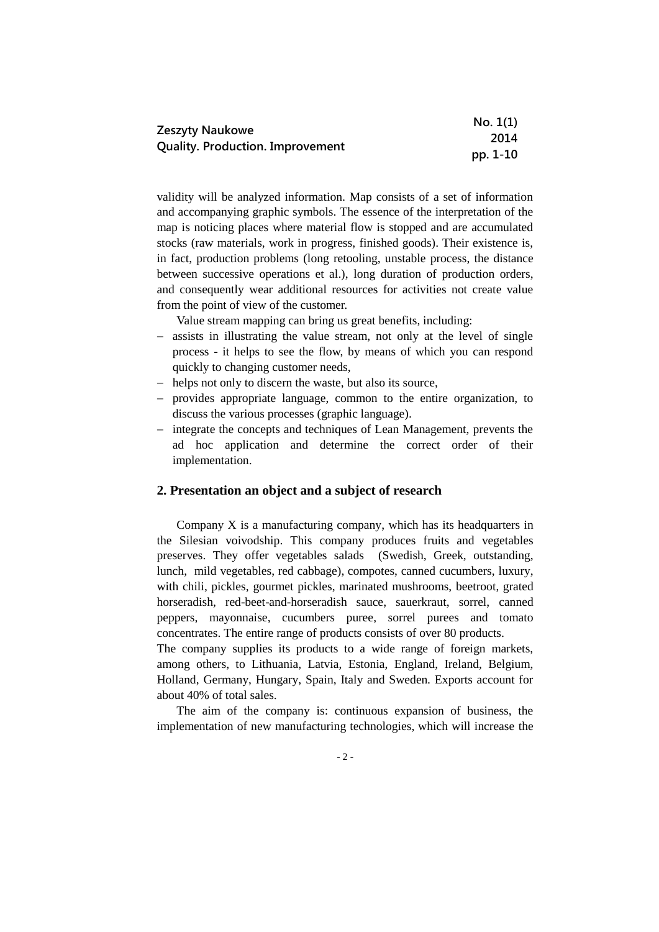|                                         | No. 1(1) |
|-----------------------------------------|----------|
| Zeszyty Naukowe                         | 2014     |
| <b>Quality. Production. Improvement</b> | pp. 1-10 |

validity will be analyzed information. Map consists of a set of information and accompanying graphic symbols. The essence of the interpretation of the map is noticing places where material flow is stopped and are accumulated stocks (raw materials, work in progress, finished goods). Their existence is, in fact, production problems (long retooling, unstable process, the distance between successive operations et al.), long duration of production orders, and consequently wear additional resources for activities not create value from the point of view of the customer.

Value stream mapping can bring us great benefits, including:

- assists in illustrating the value stream, not only at the level of single process - it helps to see the flow, by means of which you can respond quickly to changing customer needs,
- helps not only to discern the waste, but also its source,
- provides appropriate language, common to the entire organization, to discuss the various processes (graphic language).
- integrate the concepts and techniques of Lean Management, prevents the ad hoc application and determine the correct order of their implementation.

#### **2. Presentation an object and a subject of research**

Company X is a manufacturing company, which has its headquarters in the Silesian voivodship. This company produces fruits and vegetables preserves. They offer vegetables salads (Swedish, Greek, outstanding, lunch, mild vegetables, red cabbage), compotes, canned cucumbers, luxury, with chili, pickles, gourmet pickles, marinated mushrooms, beetroot, grated horseradish, red-beet-and-horseradish sauce, sauerkraut, sorrel, canned peppers, mayonnaise, cucumbers puree, sorrel purees and tomato concentrates. The entire range of products consists of over 80 products.

The company supplies its products to a wide range of foreign markets, among others, to Lithuania, Latvia, Estonia, England, Ireland, Belgium, Holland, Germany, Hungary, Spain, Italy and Sweden. Exports account for about 40% of total sales.

The aim of the company is: continuous expansion of business, the implementation of new manufacturing technologies, which will increase the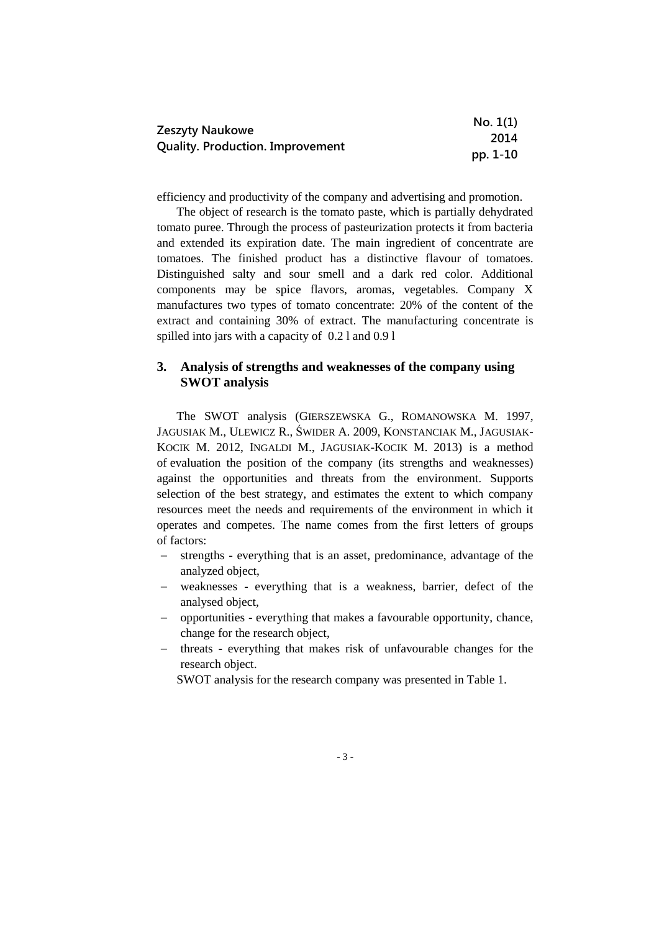|                                         | No. 1(1) |
|-----------------------------------------|----------|
| Zeszyty Naukowe                         | 2014     |
| <b>Quality. Production. Improvement</b> | pp. 1-10 |

efficiency and productivity of the company and advertising and promotion.

The object of research is the tomato paste, which is partially dehydrated tomato puree. Through the process of pasteurization protects it from bacteria and extended its expiration date. The main ingredient of concentrate are tomatoes. The finished product has a distinctive flavour of tomatoes. Distinguished salty and sour smell and a dark red color. Additional components may be spice flavors, aromas, vegetables. Company X manufactures two types of tomato concentrate: 20% of the content of the extract and containing 30% of extract. The manufacturing concentrate is spilled into jars with a capacity of 0.2 l and 0.9 l

# **3. Analysis of strengths and weaknesses of the company using SWOT analysis**

The SWOT analysis (GIERSZEWSKA G., ROMANOWSKA M. 1997, JAGUSIAK M., ULEWICZ R., ŚWIDER A. 2009, KONSTANCIAK M., JAGUSIAK-KOCIK M. 2012, INGALDI M., JAGUSIAK-KOCIK M. 2013) is a method of evaluation the position of the company (its strengths and weaknesses) against the opportunities and threats from the environment. Supports selection of the best strategy, and estimates the extent to which company resources meet the needs and requirements of the environment in which it operates and competes. The name comes from the first letters of groups of factors:

- strengths everything that is an asset, predominance, advantage of the analyzed object,
- weaknesses everything that is a weakness, barrier, defect of the analysed object,
- opportunities everything that makes a favourable opportunity, chance, change for the research object,
- threats everything that makes risk of unfavourable changes for the research object.

SWOT analysis for the research company was presented in Table 1.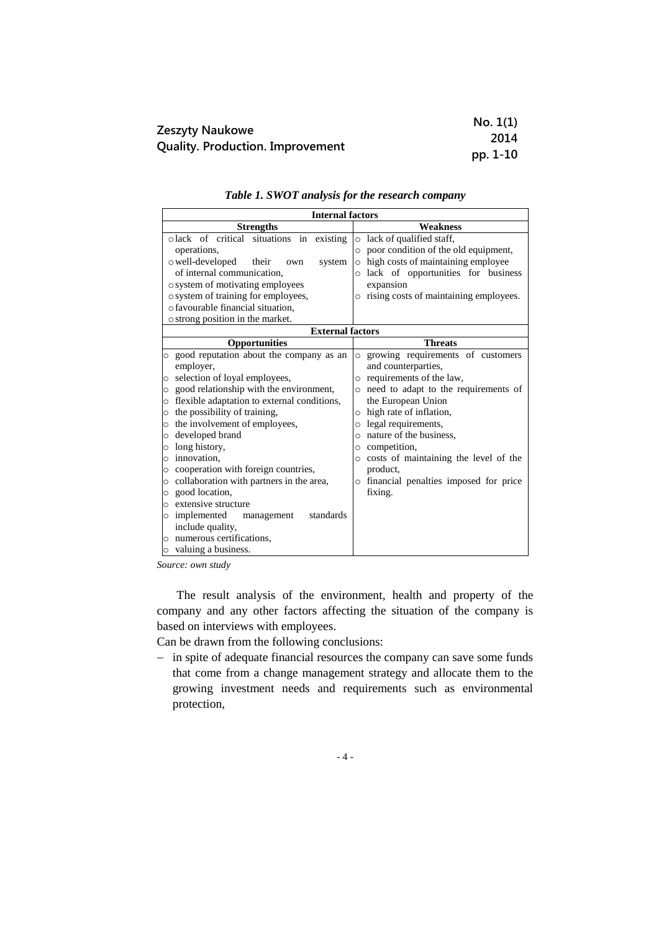|                                                            | No. 1(1) |
|------------------------------------------------------------|----------|
| Zeszyty Naukowe<br><b>Quality. Production. Improvement</b> | 2014     |
|                                                            | pp. 1-10 |

| <b>Internal factors</b>                                |                                                 |
|--------------------------------------------------------|-------------------------------------------------|
| <b>Strengths</b>                                       | <b>Weakness</b>                                 |
| olack of critical situations in existing               | o lack of qualified staff,                      |
| operations,                                            | o poor condition of the old equipment,          |
| o well-developed<br>their<br>system<br>own             | o high costs of maintaining employee            |
| of internal communication.                             | lack of opportunities for business<br>$\circ$   |
| o system of motivating employees                       | expansion                                       |
| o system of training for employees,                    | o rising costs of maintaining employees.        |
| o favourable financial situation.                      |                                                 |
| o strong position in the market.                       |                                                 |
| <b>External factors</b>                                |                                                 |
| Opportunities                                          | <b>Threats</b>                                  |
| o good reputation about the company as an              | o growing requirements of customers             |
| employer,                                              | and counterparties,                             |
| selection of loyal employees,<br>$\circ$               | o requirements of the law,                      |
| good relationship with the environment,<br>$\circ$     | need to adapt to the requirements of<br>$\circ$ |
| flexible adaptation to external conditions,<br>$\circ$ | the European Union                              |
| the possibility of training,<br>$\circ$                | o high rate of inflation,                       |
| the involvement of employees,<br>$\circ$               | legal requirements,<br>$\circ$                  |
| developed brand<br>$\circ$                             | o nature of the business,                       |
| long history,<br>$\circ$                               | competition,<br>$\circ$                         |
| $\circ$ innovation.                                    | costs of maintaining the level of the           |
| cooperation with foreign countries,<br>$\circ$         | product,                                        |
| collaboration with partners in the area,<br>$\circ$    | o financial penalties imposed for price         |
| good location,<br>$\circ$                              | fixing.                                         |
| extensive structure<br>$\circ$                         |                                                 |
| o implemented<br>standards<br>management               |                                                 |
| include quality,                                       |                                                 |
| $\circ$ numerous certifications.                       |                                                 |
| $\circ$ valuing a business.                            |                                                 |

*Table 1. SWOT analysis for the research company*

*Source: own study*

The result analysis of the environment, health and property of the company and any other factors affecting the situation of the company is based on interviews with employees.

Can be drawn from the following conclusions:

- in spite of adequate financial resources the company can save some funds that come from a change management strategy and allocate them to the growing investment needs and requirements such as environmental protection,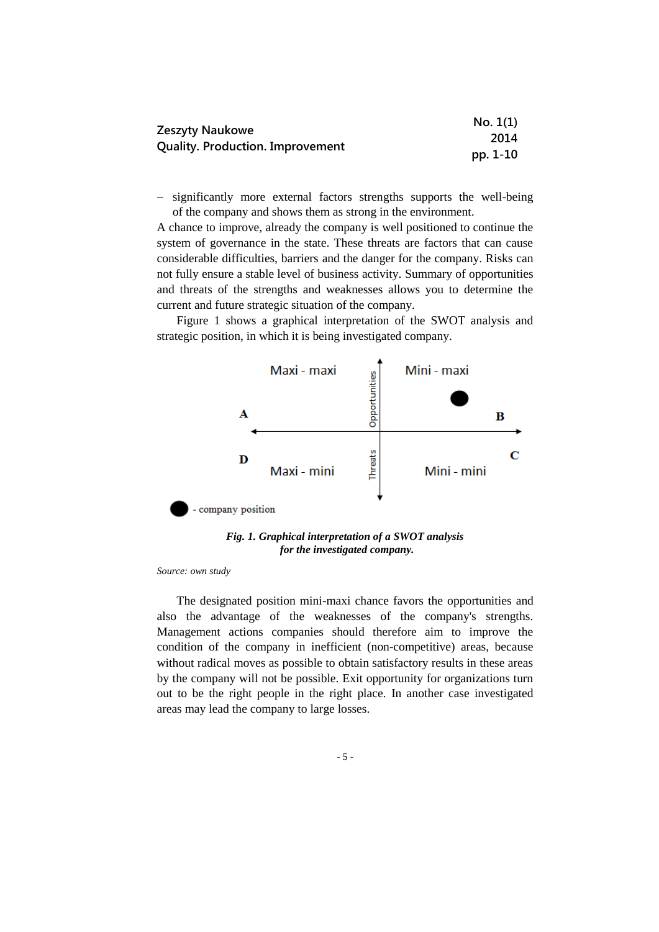| Zeszyty Naukowe                         | No. 1(1) |
|-----------------------------------------|----------|
|                                         | 2014     |
| <b>Quality. Production. Improvement</b> | pp. 1-10 |

- significantly more external factors strengths supports the well-being of the company and shows them as strong in the environment.

A chance to improve, already the company is well positioned to continue the system of governance in the state. These threats are factors that can cause considerable difficulties, barriers and the danger for the company. Risks can not fully ensure a stable level of business activity. Summary of opportunities and threats of the strengths and weaknesses allows you to determine the current and future strategic situation of the company.

Figure 1 shows a graphical interpretation of the SWOT analysis and strategic position, in which it is being investigated company.



*Fig. 1. Graphical interpretation of a SWOT analysis for the investigated company.* 

*Source: own study*

The designated position mini-maxi chance favors the opportunities and also the advantage of the weaknesses of the company's strengths. Management actions companies should therefore aim to improve the condition of the company in inefficient (non-competitive) areas, because without radical moves as possible to obtain satisfactory results in these areas by the company will not be possible. Exit opportunity for organizations turn out to be the right people in the right place. In another case investigated areas may lead the company to large losses.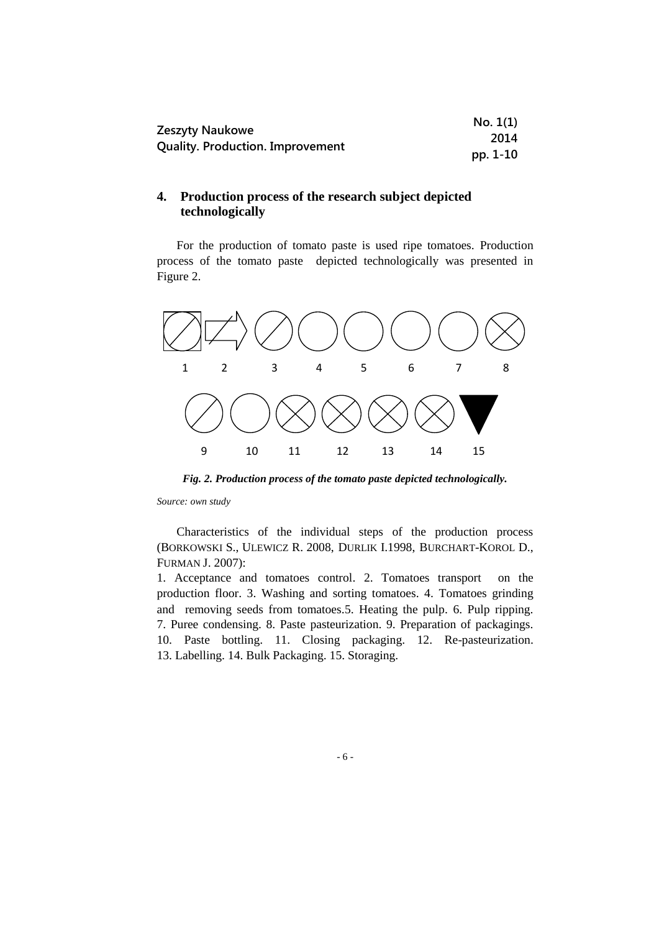| Zeszyty Naukowe                         | No. 1(1) |
|-----------------------------------------|----------|
|                                         | 2014     |
| <b>Quality. Production. Improvement</b> | pp. 1-10 |

# **4. Production process of the research subject depicted technologically**

For the production of tomato paste is used ripe tomatoes. Production process of the tomato paste depicted technologically was presented in Figure 2.



*Fig. 2. Production process of the tomato paste depicted technologically.*

*Source: own study*

Characteristics of the individual steps of the production process (BORKOWSKI S., ULEWICZ R. 2008, DURLIK I.1998, BURCHART-KOROL D., FURMAN J. 2007):

1. Acceptance and tomatoes control. 2. Tomatoes transport on the production floor. 3. Washing and sorting tomatoes. 4. Tomatoes grinding and removing seeds from tomatoes.5. Heating the pulp. 6. Pulp ripping. 7. Puree condensing. 8. Paste pasteurization. 9. Preparation of packagings. 10. Paste bottling. 11. Closing packaging. 12. Re-pasteurization. 13. Labelling. 14. Bulk Packaging. 15. Storaging.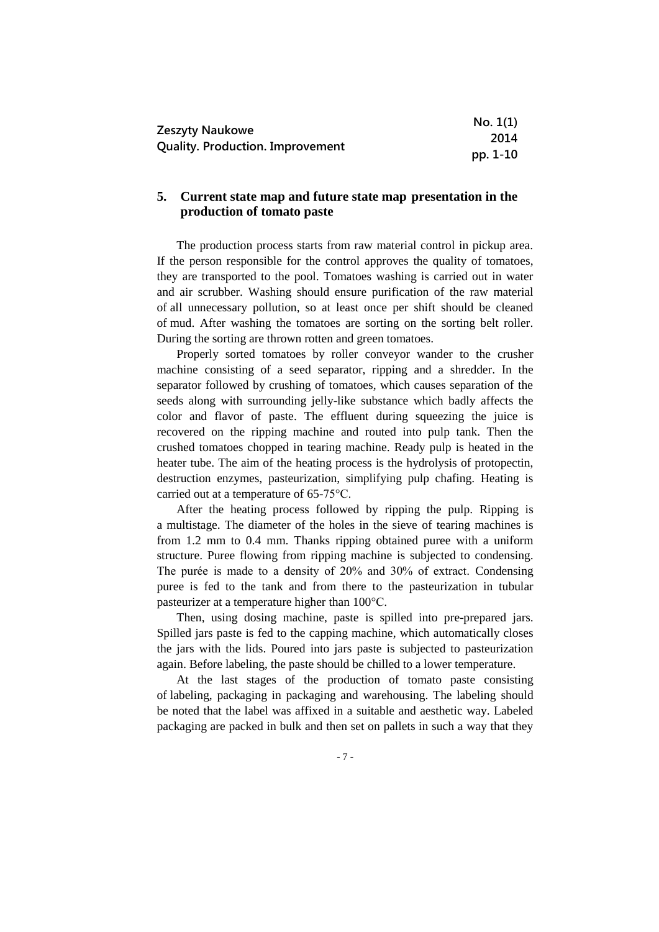|                                         | No. 1(1) |
|-----------------------------------------|----------|
| Zeszyty Naukowe                         | 2014     |
| <b>Quality. Production. Improvement</b> | pp. 1-10 |

### **5. Current state map and future state map presentation in the production of tomato paste**

The production process starts from raw material control in pickup area. If the person responsible for the control approves the quality of tomatoes, they are transported to the pool. Tomatoes washing is carried out in water and air scrubber. Washing should ensure purification of the raw material of all unnecessary pollution, so at least once per shift should be cleaned of mud. After washing the tomatoes are sorting on the sorting belt roller. During the sorting are thrown rotten and green tomatoes.

Properly sorted tomatoes by roller conveyor wander to the crusher machine consisting of a seed separator, ripping and a shredder. In the separator followed by crushing of tomatoes, which causes separation of the seeds along with surrounding jelly-like substance which badly affects the color and flavor of paste. The effluent during squeezing the juice is recovered on the ripping machine and routed into pulp tank. Then the crushed tomatoes chopped in tearing machine. Ready pulp is heated in the heater tube. The aim of the heating process is the hydrolysis of protopectin, destruction enzymes, pasteurization, simplifying pulp chafing. Heating is carried out at a temperature of 65-75°C.

After the heating process followed by ripping the pulp. Ripping is a multistage. The diameter of the holes in the sieve of tearing machines is from 1.2 mm to 0.4 mm. Thanks ripping obtained puree with a uniform structure. Puree flowing from ripping machine is subjected to condensing. The purée is made to a density of 20% and 30% of extract. Condensing puree is fed to the tank and from there to the pasteurization in tubular pasteurizer at a temperature higher than 100°C.

Then, using dosing machine, paste is spilled into pre-prepared jars. Spilled jars paste is fed to the capping machine, which automatically closes the jars with the lids. Poured into jars paste is subjected to pasteurization again. Before labeling, the paste should be chilled to a lower temperature.

At the last stages of the production of tomato paste consisting of labeling, packaging in packaging and warehousing. The labeling should be noted that the label was affixed in a suitable and aesthetic way. Labeled packaging are packed in bulk and then set on pallets in such a way that they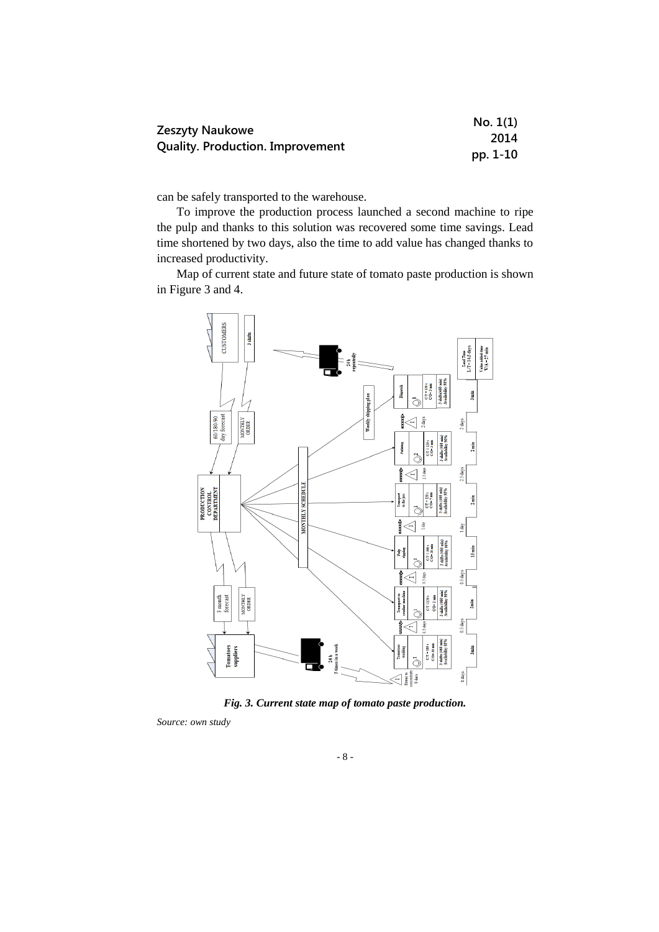| Zeszyty Naukowe                         | No. 1(1) |
|-----------------------------------------|----------|
|                                         | 2014     |
| <b>Quality. Production. Improvement</b> | pp. 1-10 |

can be safely transported to the warehouse.

To improve the production process launched a second machine to ripe the pulp and thanks to this solution was recovered some time savings. Lead time shortened by two days, also the time to add value has changed thanks to increased productivity.

Map of current state and future state of tomato paste production is shown in Figure 3 and 4.



*Fig. 3. Current state map of tomato paste production.*

*Source: own study*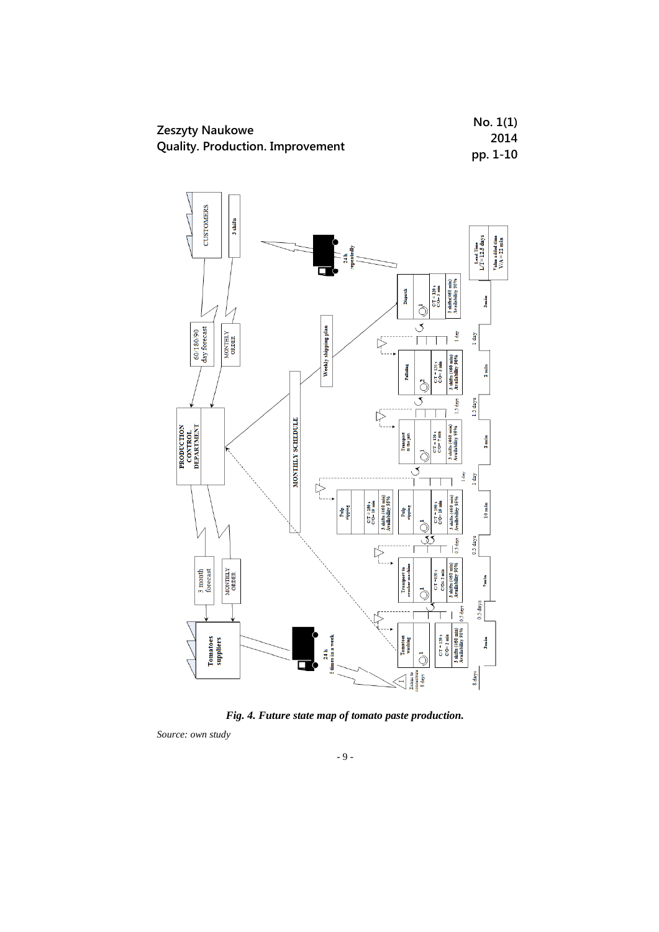





*Source: own study*